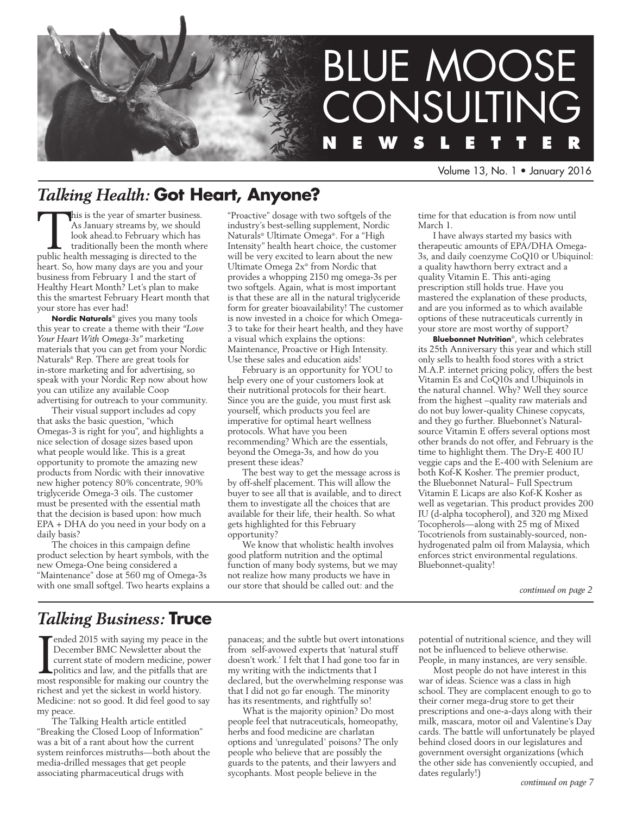

Volume 13, No. 1 • January 2016

# *Talking Health:* **Got Heart, Anyone?**

This is the year of smarter business. As January streams by, we should look ahead.to February which has traditionally been the month where public health messaging is directed to the heart. So, how many days are you and your business from February 1 and the start of Healthy Heart Month? Let's plan to make this the smartest February Heart month that your store has ever had!

**Nordic Naturals**® gives you many tools this year to create a theme with their *"Love Your Heart With Omega-3s"* marketing materials that you can get from your Nordic Naturals® Rep. There are great tools for in-store marketing and for advertising, so speak with your Nordic Rep now about how you can utilize any available Coop advertising for outreach to your community.

Their visual support includes ad copy that asks the basic question, "which Omegas-3 is right for you", and highlights a nice selection of dosage sizes based upon what people would like. This is a great opportunity to promote the amazing new products from Nordic with their innovative new higher potency 80% concentrate, 90% triglyceride Omega-3 oils. The customer must be presented with the essential math that the decision is based upon: how much EPA + DHA do you need in your body on a daily basis?

The choices in this campaign define product selection by heart symbols, with the new Omega-One being considered a "Maintenance" dose at 560 mg of Omega-3s with one small softgel. Two hearts explains a "Proactive" dosage with two softgels of the industry's best-selling supplement, Nordic Naturals® Ultimate Omega®. For a "High Intensity" health heart choice, the customer will be very excited to learn about the new Ultimate Omega 2x® from Nordic that provides a whopping 2150 mg omega-3s per two softgels. Again, what is most important is that these are all in the natural triglyceride form for greater bioavailability! The customer is now invested in a choice for which Omega-3 to take for their heart health, and they have a visual which explains the options: Maintenance, Proactive or High Intensity. Use these sales and education aids!

February is an opportunity for YOU to help every one of your customers look at their nutritional protocols for their heart. Since you are the guide, you must first ask yourself, which products you feel are imperative for optimal heart wellness protocols. What have you been recommending? Which are the essentials, beyond the Omega-3s, and how do you present these ideas?

The best way to get the message across is by off-shelf placement. This will allow the buyer to see all that is available, and to direct them to investigate all the choices that are available for their life, their health. So what gets highlighted for this February opportunity?

We know that wholistic health involves good platform nutrition and the optimal function of many body systems, but we may not realize how many products we have in our store that should be called out: and the

time for that education is from now until March 1.

I have always started my basics with therapeutic amounts of EPA/DHA Omega-3s, and daily coenzyme CoQ10 or Ubiquinol: a quality hawthorn berry extract and a quality Vitamin E. This anti-aging prescription still holds true. Have you mastered the explanation of these products, and are you informed as to which available options of these nutraceuticals currently in your store are most worthy of support?

**Bluebonnet Nutrition**®, which celebrates its 25th Anniversary this year and which still only sells to health food stores with a strict M.A.P. internet pricing policy, offers the best Vitamin Es and CoQ10s and Ubiquinols in the natural channel. Why? Well they source from the highest –quality raw materials and do not buy lower-quality Chinese copycats, and they go further. Bluebonnet's Naturalsource Vitamin E offers several options most other brands do not offer, and February is the time to highlight them. The Dry-E 400 IU veggie caps and the E-400 with Selenium are both Kof-K Kosher. The premier product, the Bluebonnet Natural~ Full Spectrum Vitamin E Licaps are also Kof-K Kosher as well as vegetarian. This product provides 200 IU (d-alpha tocopherol), and 320 mg Mixed Tocopherols—along with 25 mg of Mixed Tocotrienols from sustainably-sourced, nonhydrogenated palm oil from Malaysia, which enforces strict environmental regulations. Bluebonnet-quality!

*continued on page 2*

# *Talking Business:* **Truce**

<sup>-</sup>ended 2015 with saying my peace in the December BMC Newsletter about the current state of modern medicine, power politics and law, and the pitfalls that are most responsible for making our country the richest and yet the sickest in world history. Medicine: not so good. It did feel good to say my peace.

The Talking Health article entitled "Breaking the Closed Loop of Information" was a bit of a rant about how the current system reinforces mistruths—both about the media-drilled messages that get people associating pharmaceutical drugs with

panaceas; and the subtle but overt intonations from self-avowed experts that 'natural stuff doesn't work.' I felt that I had gone too far in my writing with the indictments that I declared, but the overwhelming response was that I did not go far enough. The minority has its resentments, and rightfully so!

What is the majority opinion? Do most people feel that nutraceuticals, homeopathy, herbs and food medicine are charlatan options and 'unregulated' poisons? The only people who believe that are possibly the guards to the patents, and their lawyers and sycophants. Most people believe in the

potential of nutritional science, and they will not be influenced to believe otherwise. People, in many instances, are very sensible.

Most people do not have interest in this war of ideas. Science was a class in high school. They are complacent enough to go to their corner mega-drug store to get their prescriptions and one-a-days along with their milk, mascara, motor oil and Valentine's Day cards. The battle will unfortunately be played behind closed doors in our legislatures and government oversight organizations (which the other side has conveniently occupied, and dates regularly!)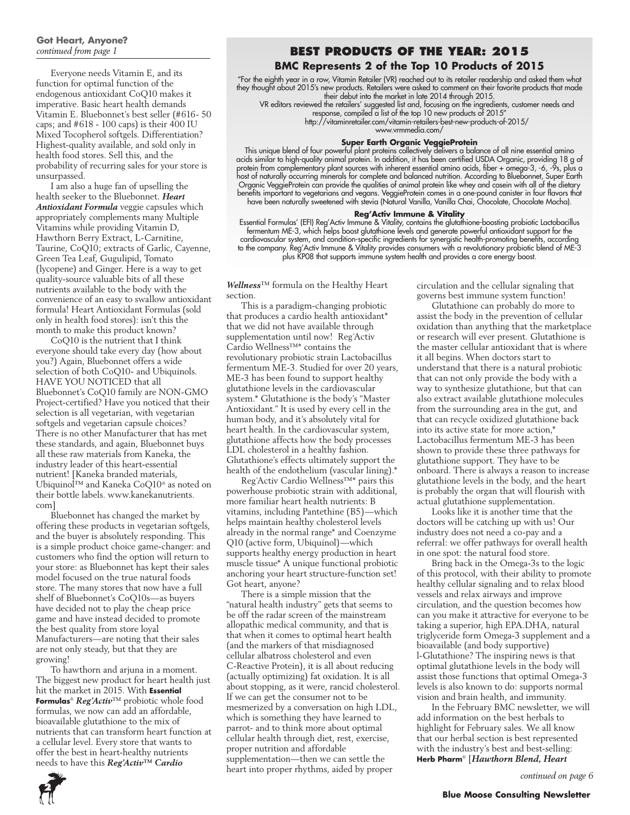# **Got Heart, Anyone?**

Everyone needs Vitamin E, and its function for optimal function of the endogenous antioxidant CoQ10 makes it imperative. Basic heart health demands Vitamin E. Bluebonnet's best seller (#616- 50 caps; and #618 - 100 caps) is their 400 IU Mixed Tocopherol softgels. Differentiation? Highest-quality available, and sold only in health food stores. Sell this, and the probability of recurring sales for your store is unsurpassed.

I am also a huge fan of upselling the health seeker to the Bluebonnet. *Heart Antioxidant Formula* veggie capsules which appropriately complements many Multiple Vitamins while providing Vitamin D, Hawthorn Berry Extract, L-Carnitine, Taurine, CoQ10; extracts of Garlic, Cayenne, Green Tea Leaf, Gugulipid, Tomato (lycopene) and Ginger. Here is a way to get quality-source valuable bits of all these nutrients available to the body with the convenience of an easy to swallow antioxidant formula! Heart Antioxidant Formulas (sold only in health food stores): isn't this the month to make this product known?

CoQ10 is the nutrient that I think everyone should take every day (how about you?) Again, Bluebonnet offers a wide selection of both CoQ10- and Ubiquinols. HAVE YOU NOTICED that all Bluebonnet's CoQ10 family are NON-GMO Project-certified? Have you noticed that their selection is all vegetarian, with vegetarian softgels and vegetarian capsule choices? There is no other Manufacturer that has met these standards, and again, Bluebonnet buys all these raw materials from Kaneka, the industry leader of this heart-essential nutrient! [Kaneka branded materials, Ubiquinol™ and Kaneka CoQ10® as noted on their bottle labels. www.kanekanutrients. com]

Bluebonnet has changed the market by offering these products in vegetarian softgels, and the buyer is absolutely responding. This is a simple product choice game-changer: and customers who find the option will return to your store: as Bluebonnet has kept their sales model focused on the true natural foods store. The many stores that now have a full shelf of Bluebonnet's CoQ10s—as buyers have decided not to play the cheap price game and have instead decided to promote the best quality from store loyal Manufacturers—are noting that their sales are not only steady, but that they are growing!

To hawthorn and arjuna in a moment. The biggest new product for heart health just hit the market in 2015. With **Essential Formulas**® *Reg'Activ*™ probiotic whole food formulas, we now can add an affordable, bioavailable glutathione to the mix of nutrients that can transform heart function at a cellular level. Every store that wants to offer the best in heart-healthy nutrients needs to have this *Reg'Activ™ Cardio* 

### *continued from page 1* **Best Products of the Year: 2015**

### **BMC Represents 2 of the Top 10 Products of 2015**

"For the eighth year in a row, Vitamin Retailer (VR) reached out to its retailer readership and asked them what they thought about 2015's new products. Retailers were asked to comment on their favorite products that made their debut into the market in late 2014 through 2015.

VR editors reviewed the retailers' suggested list and, focusing on the ingredients, customer needs and response, compiled a list of the top 10 new products of 2015"

http://vitaminretailer.com/vitamin-retailers-best-new-products-of-2015/ www.vrmmedia.com/

### **Super Earth Organic VeggieProtein**

This unique blend of four powerful plant proteins collectively delivers a balance of all nine essential amino acids similar to high-quality animal protein. In addition, it has been certified USDA Organic, providing 18 g of protein from complementary plant sources with inherent essential amino acids, fiber + omega-3, -6, -9s, plus a host of naturally occurring minerals for complete and balanced nutrition. According to Bluebonnet, Super Earth Organic VeggieProtein can provide the qualities of animal protein like whey and casein with all of the dietary benefits important to vegetarians and vegans. VeggieProtein comes in a one-pound canister in four flavors that have been naturally sweetened with stevia (Natural Vanilla, Vanilla Chai, Chocolate, Chocolate Mocha).

#### **Reg'Activ Immune & Vitality**

Essential Formulas' (EFI) Reg'Activ Immune & Vitality, contains the glutathione-boosting probiotic Lactobacillus fermentum ME-3, which helps boost glutathione levels and generate powerful antioxidant support for the cardiovascular system, and condition-specific ingredients for synergistic health-promoting benefits, according to the company. Reg'Activ Immune & Vitality provides consumers with a revolutionary probiotic blend of ME-3 plus KP08 that supports immune system health and provides a core energy boost.

*Wellness*™ formula on the Healthy Heart section.

This is a paradigm-changing probiotic that produces a cardio health antioxidant\* that we did not have available through supplementation until now! Reg´Activ Cardio Wellness™\* contains the revolutionary probiotic strain Lactobacillus fermentum ME-3. Studied for over 20 years, ME-3 has been found to support healthy glutathione levels in the cardiovascular system.\* Glutathione is the body's "Master Antioxidant." It is used by every cell in the human body, and it's absolutely vital for heart health. In the cardiovascular system, glutathione affects how the body processes LDL cholesterol in a healthy fashion. Glutathione's effects ultimately support the health of the endothelium (vascular lining).\*

Reg´Activ Cardio Wellness™\* pairs this powerhouse probiotic strain with additional, more familiar heart health nutrients: B vitamins, including Pantethine (B5)—which helps maintain healthy cholesterol levels already in the normal range\* and Coenzyme Q10 (active form, Ubiquinol)—which supports healthy energy production in heart muscle tissue\* A unique functional probiotic anchoring your heart structure-function set! Got heart, anyone?

There is a simple mission that the "natural health industry" gets that seems to be off the radar screen of the mainstream allopathic medical community, and that is that when it comes to optimal heart health (and the markers of that misdiagnosed cellular albatross cholesterol and even C-Reactive Protein), it is all about reducing (actually optimizing) fat oxidation. It is all about stopping, as it were, rancid cholesterol. If we can get the consumer not to be mesmerized by a conversation on high LDL, which is something they have learned to parrot- and to think more about optimal cellular health through diet, rest, exercise, proper nutrition and affordable supplementation—then we can settle the heart into proper rhythms, aided by proper

circulation and the cellular signaling that governs best immune system function!

Glutathione can probably do more to assist the body in the prevention of cellular oxidation than anything that the marketplace or research will ever present. Glutathione is the master cellular antioxidant that is where it all begins. When doctors start to understand that there is a natural probiotic that can not only provide the body with a way to synthesize glutathione, but that can also extract available glutathione molecules from the surrounding area in the gut, and that can recycle oxidized glutathione back into its active state for more action,\* Lactobacillus fermentum ME-3 has been shown to provide these three pathways for glutathione support. They have to be onboard. There is always a reason to increase glutathione levels in the body, and the heart is probably the organ that will flourish with actual glutathione supplementation.

Looks like it is another time that the doctors will be catching up with us! Our industry does not need a co-pay and a referral: we offer pathways for overall health in one spot: the natural food store.

Bring back in the Omega-3s to the logic of this protocol, with their ability to promote healthy cellular signaling and to relax blood vessels and relax airways and improve circulation, and the question becomes how can you make it attractive for everyone to be taking a superior, high EPA.DHA, natural triglyceride form Omega-3 supplement and a bioavailable (and body supportive) l-Glutathione? The inspiring news is that optimal glutathione levels in the body will assist those functions that optimal Omega-3 levels is also known to do: supports normal vision and brain health, and immunity.

In the February BMC newsletter, we will add information on the best herbals to highlight for February sales. We all know that our herbal section is best represented with the industry's best and best-selling: **Herb Pharm**® [*Hawthorn Blend, Heart* 

*continued on page 6*

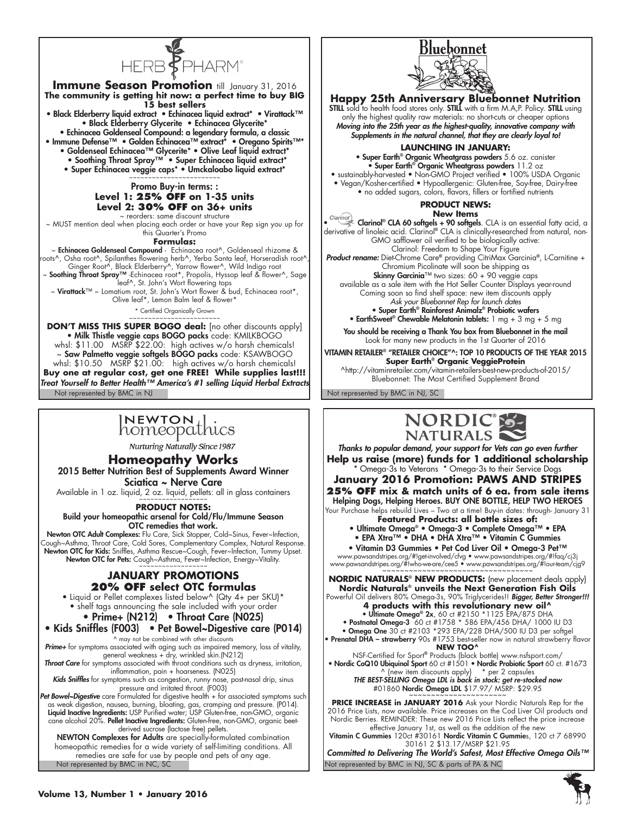

#### **Immune Season Promotion till January 31, 2016 The community is getting hit now: a perfect time to buy BIG 15 best sellers** • Black Elderberry liquid extract • Echinacea liquid extract\* • Virattack™ • Black Elderberry Glycerite • Echinacea Glycerite\* • Echinacea Goldenseal Compound: a legendary formula, a classic • Immune Defense™ • Golden Echinacea™ extract\* • Oregano Spirits™\* • Goldenseal Echinacea™ Glycerite\* • Olive Leaf liquid extract\* • Soothing Throat Spray™ • Super Echinacea liquid extract\* • Super Echinacea veggie caps\* • Umckaloabo liquid extract\* ~~~~~~~~~~~~~~~~~~~~~~~~ Promo Buy-in terms: : **Level 1: 25% OFF on 1-35 units Level 2: 30% OFF on 36+ units** reorders: same discount structure ~ MUST mention deal when placing each order or have your Rep sign you up for this Quarter's Promo **Formulas:** ~ Echinacea Goldenseal Compound - Echinacea root^, Goldenseal rhizome & roots^, Osha root^, Spilanthes flowering herb^, Yerba Santa leaf, Horseradish root^, Ginger Root^, Black Elderberry^, Yarrow flower^, Wild Indigo root<br>Mo**othing Throat Spray™** -Echinacea root\*, Propolis, Hyssop leaf & flower ~, Sage ~ leaf^, St. John's Wort flowering tops ~ **Virattack™** ~ Lomatium root, St. John's Wort flower & bud, Echinacea root\*, Olive leaf\*, Lemon Balm leaf & flower\* \* Certified Organically Grown ~~~~~~~~~~~~~~~~~~~~~~~~ **DON'T MISS THIS SUPER BOGO deal:** [no other discounts apply] • Milk Thistle veggie caps BOGO packs code: KMILKBOGO whsl: \$11.00 MSRP \$22.00: high actives w/o harsh chemicals!

Not represented by BMC in NJ Not represented by BMC in NJ, SC ~ Saw Palmetto veggie softgels BOGO packs code: KSAWBOGO whsl: \$10.50 MSRP \$21.00: high actives w/o harsh chemicals! **Buy one at regular cost, get one FREE! While supplies last!!!** *Treat Yourself to Better Health™ America's #1 selling Liquid Herbal Extracts*

# INEWTON Lics

**Nurturing Naturally Since 1987** 

### **Homeopathy Works**

2015 Better Nutrition Best of Supplements Award Winner Sciatica ~ Nerve Care

Available in 1 oz. liquid, 2 oz. liquid, pellets: all in glass containers

**Product Notes:** 

Build your homeopathic arsenal for Cold/Flu/Immune Season OTC remedies that work.

Newton OTC Adult Complexes: Flu Care, Sick Stopper, Cold~Sinus, Fever~Infection, Cough~Asthma, Throat Care, Cold Sores, Complementary Complex, Natural Response. **Newton OTC for Kids:** Sniffles, Asthma Rescue~Cough, Fever~Infection, Tummy Upset. Newton OTC for Pets: Cough~Asthma, Fever~Infection, Energy~Vitality.<br>~~~~~~~~~~~~~~~~~~~~~~~~

### **January Promotions 20% OFF select OTC formulas**

• Liquid or Pellet complexes listed below^ (Qty 4+ per SKU)\* • shelf tags announcing the sale included with your order

• Prime+ (N212) • Throat Care (N025)

• Kids Sniffles (F003) • Pet Bowel~Digestive care (P014)

^ may not be combined with other discounts *Prime+* for symptoms associated with aging such as impaired memory, loss of vitality, general weakness + dry, wrinkled skin.(N212)<br>*Throat Care for symptoms associated with throat conditions such as dryness, irritation,* 

inflammation, pain + hoarseness. (N025) *Kids Sniffles* for symptoms such as congestion, runny nose, post-nasal drip, sinus

pressure and irritated throat. (F003)

*Pet Bowel~Digestive* care Formulated for digestive health + for associated symptoms such as weak digestion, nausea, burning, bloating, gas, cramping and pressure. (P014). **Liquid Inactive Ingredients:** USP Purified water; USP Gluten-free, non-GMO, organic cane alcohol 20%. Pellet Inactive Ingredients: Gluten-free, non-GMO, organic beetderived sucrose (lactose free) pellets.

Not represented by BMC in NC, SC NEWTON Complexes for Adults are specially-formulated combination homeopathic remedies for a wide variety of self-limiting conditions. All remedies are safe for use by people and pets of any age.



### **Happy 25th Anniversary Bluebonnet Nutrition**

**STILL** sold to health food stores only. **STILL** with a firm M.A,P. Policy. **STILL** using only the highest quality raw materials: no short-cuts or cheaper options *Moving into the 25th year as the highest-quality, innovative company with Supplements in the natural channel, that they are clearly loyal to!*

#### **Launching in January:**

• Super Earth® Organic Wheatgrass powders 5.6 oz. canister • Super Earth® Organic Wheatgrass powders 11.2 oz • sustainably-harvested • Non-GMO Project verified • 100% USDA Organic

• Vegan/Kosher-certified • Hypoallergenic: Gluten-free, Soy-free, Dairy-free • no added sugars, colors, flavors, fillers or fortified nutrients

### **Product NEWS:**

### **New Items**

 $\bullet$  Clarinol® CLA 60 softgels + 90 softgels. CLA is an essential fatty acid, a derivative of linoleic acid. Clarinol® CLA is clinically-researched from natural, non-GMO safflower oil verified to be biologically active:

Clarinol: Freedom to Shape Your Figure *Product rename:* Diet-Chrome Care® providing CitriMax Garcinia®, L-Carnitine + Chromium Picolinate will soon be shipping as

Skinny Garcinia™ two sizes: 60 + 90 veggie caps available as a sale item with the Hot Seller Counter Displays year-round Coming soon so find shelf space: new item discounts apply *Ask your Bluebonnet Rep for launch dates*

• Super Earth® Rainforest Animalz® Probiotic wafers • EarthSweet® Chewable Melatonin tablets:  $1 \text{ mg} + 3 \text{ mg} + 5 \text{ mg}$ 

You should be receiving a Thank You box from Bluebonnet in the mail Look for many new products in the 1st Quarter of 2016

Vitamin Retailer® "retailer choice"^: Top 10 Products of the Year 2015 **Super Earth**® **Organic VeggieProtein**

^http://vitaminretailer.com/vitamin-retailers-best-new-products-of-2015/ Bluebonnet: The Most Certified Supplement Brand



*Thanks to popular demand, your support for Vets can go even further* **Help us raise (more) funds for 1 additional scholarship** 

\* Omega-3s to Veterans \* Omega-3s to their Service Dogs **January 2016 Promotion: PAWS AND STRIPES 25% OFF mix & match units of 6 ea. from sale items** Helping Dogs, Helping Heroes. BUY ONE BOTTLE, HELP TWO HEROES

Your Purchase helps rebuild Lives – Two at a time! Buy-in dates: through- January 31

**Featured Products: all bottle sizes of:**

• Ultimate Omega® • Omega-3 • Complete Omega™ • EPA • EPA Xtra™ • DHA • DHA Xtra™ • Vitamin C Gummies

• Vitamin D3 Gummies • Pet Cod Liver Oil • Omega-3 Pet™

www.pawsandstripes.org/#!get-involved/cfvg • www.pawsandstripes.org/#!faq/cj3j www.pawsandstripes.org/#!who-we-are/cee5 • www.pawsandstripes.org/#!our-team/cjg9 ~~~~~~~~~~~~~~~~~~~~~~~~~~~~~~~~~~

**NORDIC NATURALS**® **NEW PRODUCTS:** (new placement deals apply) **Nordic Naturals**® **unveils the Next Generation Fish Oils** Powerful Oil delivers 80% Omega-3s, 90% Triglycerides!! *Bigger, Better Stronger!!!*

- **4 products with this revolutionary new oil^** • Ultimate Omega® 2x, 60 ct #2150 \*1125 EPA/875 DHA
- Postnatal Omega-3 60 ct #1758 \* 586 EPA/456 DHA/ 1000 IU D3

• Omega One 30 ct #2103 \*293 EPA/228 DHA/500 IU D3 per softgel

• Prenatal DHA – strawberry 90s #1753 best-seller now in natural strawberry flavor **new too^**

NSF-Certified for Sport® Products (black bottle) www.nsfsport.com/ • Nordic CoQ10 Ubiquinol Sport 60 ct #1501 • Nordic Probiotic Sport 60 ct. #1673

^ {new item discounts apply} \* per 2 capsules *THE BEST-SELLING Omega LDL is back in stock: get re-stocked now* #01860 Nordic Omega LDL \$17.97/ MSRP: \$29.95

**PRICE INCREASE in JANUARY 2016** Ask your Nordic Naturals Rep for the 2016 Price Lists, now available. Price increases on the Cod Liver Oil products and Nordic Berries. REMINDER: These new 2016 Price Lists reflect the price increase effective January 1st, as well as the addition of the new

Vitamin C Gummies 120ct #30161 Nordic Vitamin C Gummies, 120 ct 7 68990 30161 2 \$13.17/MSRP \$21.95

Not represented by BMC in NJ, SC & parts of PA & NC *Committed to Delivering The World's Safest, Most Effective Omega Oils™*

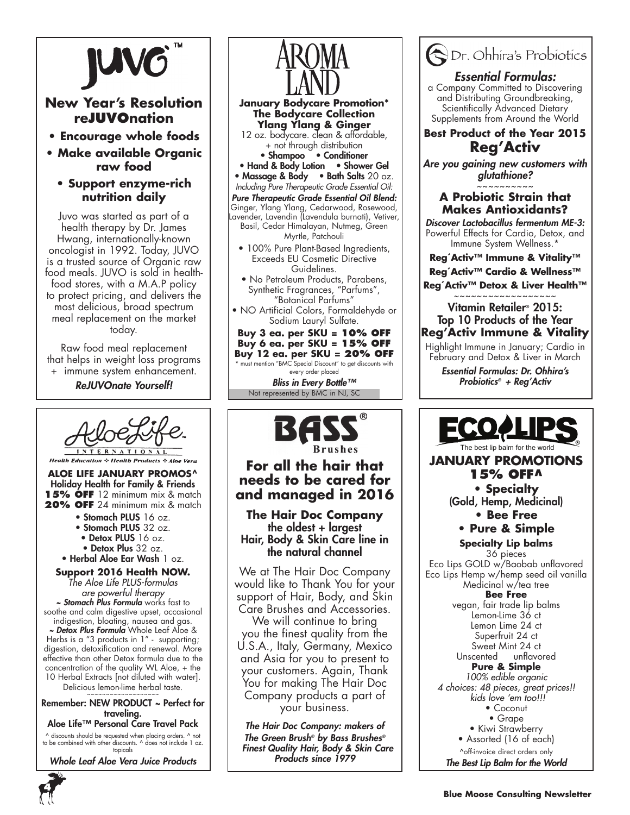

### **New Year's Resolution reJUVOnation**

- **Encourage whole foods**
- **Make available Organic raw food**

### **• Support enzyme-rich nutrition daily**

Juvo was started as part of a health therapy by Dr. James Hwang, internationally-known oncologist in 1992. Today, JUVO is a trusted source of Organic raw food meals. JUVO is sold in healthfood stores, with a M.A.P policy to protect pricing, and delivers the most delicious, broad spectrum meal replacement on the market today.

Raw food meal replacement that helps in weight loss programs + immune system enhancement.

*ReJUVOnate Yourself!*



**Aloe Life January Promos^** Holiday Health for Family & Friends 15% OFF 12 minimum mix & match **20% OFF** 24 minimum mix & match

- Stomach PLUS 16 oz.
- Stomach PLUS 32 oz.
- Detox PLUS 16 oz.
- Detox Plus 32 oz.

• Herbal Aloe Ear Wash 1 oz.

**Support 2016 Health NOW.** *The Aloe Life PLUS-formulas are powerful therapy ~ Stomach Plus Formula* works fast to soothe and calm digestive upset, occasional indigestion, bloating, nausea and gas. *~ Detox Plus Formula* Whole Leaf Aloe & Herbs is a "3 products in 1" - supporting; digestion, detoxification and renewal. More effective than other Detox formula due to the

concentration of the quality WL Aloe, + the 10 Herbal Extracts [not diluted with water].

Delicious lemon-lime herbal taste.

Remember: NEW PRODUCT ~ Perfect for traveling.

### Aloe Life™ Personal Care Travel Pack

^ discounts should be requested when placing orders. ^ not to be combined with other discounts. ^ does not include 1 oz. topicals

*Whole Leaf Aloe Vera Juice Products*



![](_page_3_Picture_23.jpeg)

### **For all the hair that needs to be cared for and managed in 2016**

**The Hair Doc Company** the oldest + largest Hair, Body & Skin Care line in the natural channel

We at The Hair Doc Company would like to Thank You for your support of Hair, Body, and Skin Care Brushes and Accessories. We will continue to bring you the finest quality from the U.S.A., Italy, Germany, Mexico and Asia for you to present to your customers. Again, Thank You for making The Hair Doc Company products a part of your business.

*The Hair Doc Company: makers of The Green Brush® by Bass Brushes® Finest Quality Hair, Body & Skin Care Products since 1979*

![](_page_3_Picture_28.jpeg)

### **• Pure & Simple**

**Specialty Lip balms**  36 pieces Eco Lips GOLD w/Baobab unflavored Eco Lips Hemp w/hemp seed oil vanilla Medicinal w/tea tree **Bee Free**  vegan, fair trade lip balms Lemon-Lime 36 ct Lemon Lime 24 ct Superfruit 24 ct Sweet Mint 24 ct<br>Unscented unflavo unflavored **Pure & Simple** *100% edible organic 4 choices: 48 pieces, great prices!! kids love 'em too!!!* • Coconut • Grape • Kiwi Strawberry • Assorted (16 of each) ^off-invoice direct orders only *The Best Lip Balm for the World*

![](_page_3_Picture_32.jpeg)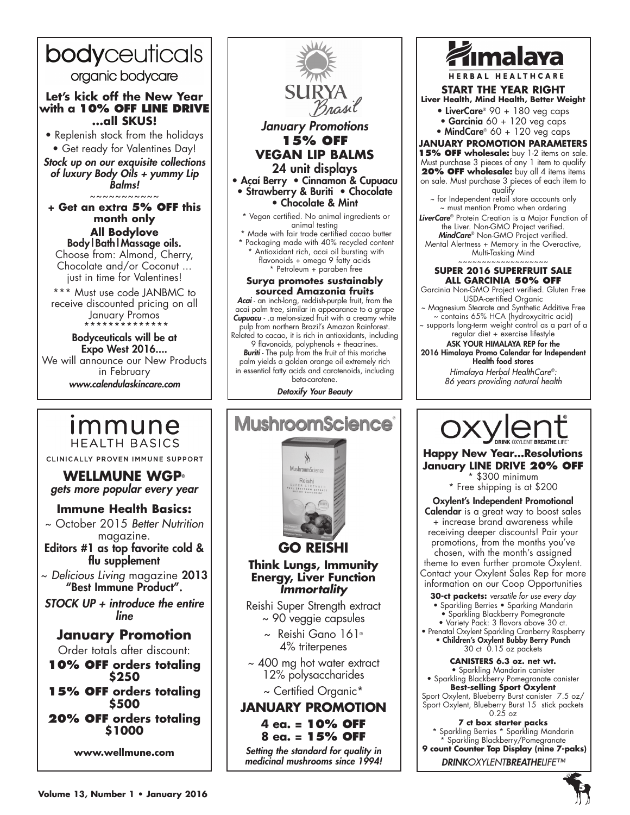![](_page_4_Picture_0.jpeg)

### *January Promotions* **15% off VEGAN LIP BALMS** 24 unit displays • Açaí Berry • Cinnamon & Cupuacu • Strawberry & Buriti • Chocolate • Chocolate & Mint \* Vegan certified. No animal ingredients or animal testing \* Made with fair trade certified cacao butter \* Packaging made with 40% recycled content Antioxidant rich, acai oil bursting with flavonoids + omega 9 fatty acids \* Petroleum + paraben free **Surya promotes sustainably sourced Amazonia fruits** *Acai* - an inch-long, reddish-purple fruit, from the acai palm tree, similar in appearance to a grape *Cupuacu* - .a melon-sized fruit with a creamy white pulp from northern Brazil's Amazon Rainforest. Related to cacao, it is rich in antioxidants, including 9 flavonoids, polyphenols + theacrines. *Buriti* - The pulp from the fruit of this moriche palm yields a golden orange oil extremely rich in essential fatty acids and carotenoids, including beta-carotene. *Detoxify Your Beauty* **MushroomScience**® À MushroomScience<sup>.</sup> Reishi **GO REISHI Think Lungs, Immunity Energy, Liver Function** *Immortality* Reishi Super Strength extract ~ 90 veggie capsules ~ Reishi Gano 161® 4% triterpenes ~ 400 mg hot water extract 12% polysaccharides ~ Certified Organic\* **January Promotion 4 ea. = 10% OFF 8 ea. = 15% OFF**  *Setting the standard for quality in medicinal mushrooms since 1994!*

**SUI** 

![](_page_4_Picture_2.jpeg)

**START THE YEAR RIGHT Liver Health, Mind Health, Better Weight**

- LiverCare<sup>®</sup> 90 + 180 veg caps
- Garcinia  $60 + 120$  veg caps • MindCare<sup>®</sup> 60 + 120 veg caps

**January Promotion Parameters 15% OFF wholesale:** buy 1-2 items on sale. Must purchase 3 pieces of any 1 item to qualify **20% OFF wholesale:** buy all 4 items items on sale. Must purchase 3 pieces of each item to qualify

~ for Independent retail store accounts only ~ must mention Promo when ordering

*LiverCare*® Protein Creation is a Major Function of the Liver. Non-GMO Project verified. *MindCare*® Non-GMO Project verified. Mental Alertness + Memory in the Overactive, Multi-Tasking Mind

#### ~~~~~~~~~~~~~~~~~~~ **SUPER 2016 SUPERFRUIT SALE ALL GARCINIA 50% OFF**

Garcinia Non-GMO Project verified. Gluten Free USDA-certified Organic

~ Magnesium Stearate and Synthetic Additive Free ~ contains 65% HCA (hydroxycitric acid)

supports long-term weight control as a part of a regular diet + exercise lifestyle

ASK YOUR HIMALAYA REP for the 2016 Himalaya Promo Calendar for Independent Health food stores

> *Himalaya Herbal HealthCare®: 86 years providing natural health*

![](_page_4_Picture_15.jpeg)

**Happy New Year…Resolutions January LINE DRIVE 20% OFF**

\$300 minimum \* Free shipping is at \$200

Oxylent's Independent Promotional Calendar is a great way to boost sales + increase brand awareness while receiving deeper discounts! Pair your promotions, from the months you've chosen, with the month's assigned theme to even further promote Oxylent. Contact your Oxylent Sales Rep for more information on our Coop Opportunities

- **30-ct packets:** *versatile for use every day*
- Sparkling Berries Sparking Mandarin
- Sparkling Blackberry Pomegranate • Variety Pack: 3 flavors above 30 ct.
- Prenatal Oxylent Sparkling Cranberry Raspberry

• Children's Oxylent Bubby Berry Punch 30 ct 0.15 oz packets

**CANISTERS 6.3 oz. net wt.**

• Sparkling Mandarin canister • Sparkling Blackberry Pomegranate canister **Best-selling Sport Oxylent**

Sport Oxylent, Blueberry Burst canister 7.5 oz/ Sport Oxylent, Blueberry Burst 15 stick packets  $0.25$  oz

**7 ct box starter packs**

\* Sparkling Berries \* Sparkling Mandarin \* Sparkling Blackberry/Pomegranate  **9 count Counter Top Display (nine 7-paks)**

*DRINKOXYLENTBREATHELIFE™*

**Immune HEALTH BASICS** CLINICALLY PROVEN IMMUNE SUPPORT

**WELLMUNE WGP®**

*gets more popular every year*

### **Immune Health Basics:**

~ October 2015 *Better Nutrition* magazine.

Editors #1 as top favorite cold & flu supplement

~ *Delicious Living* magazine 2013 "Best Immune Product".

*STOCK UP + introduce the entire line*

### **January Promotion**

Order totals after discount:

**10% OFF orders totaling \$250**

**15% OFF orders totaling \$500**

**20% OFF orders totaling \$1000**

**www.wellmune.com**

![](_page_4_Picture_44.jpeg)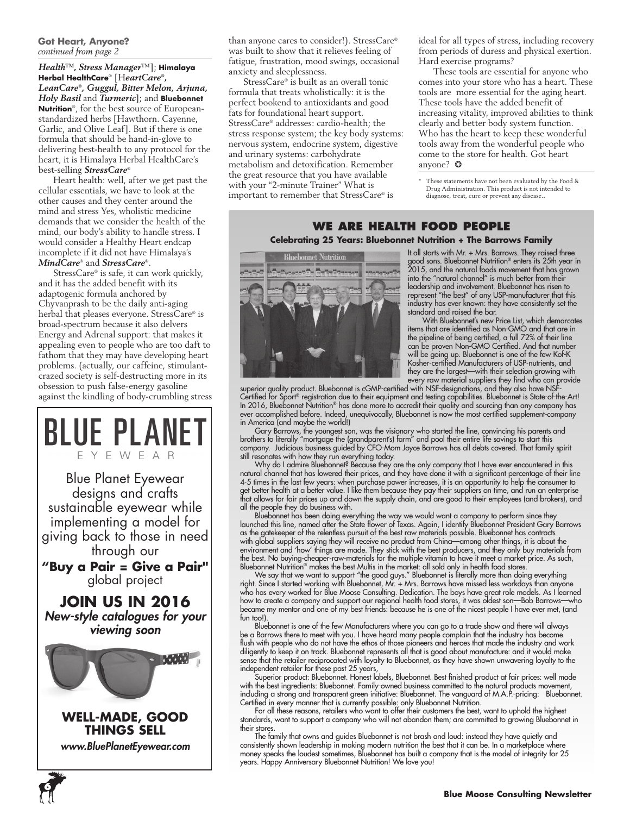#### **Got Heart, Anyone?** *continued from page 2*

*Health™, Stress Manager*™]; **Himalaya Herbal HealthCare**® [H*eartCare®, LeanCare®, Guggul, Bitter Melon, Arjuna, Holy Basil* and *Turmeric*]; and **Bluebonnet Nutrition**®, for the best source of Europeanstandardized herbs [Hawthorn. Cayenne, Garlic, and Olive Leaf]. But if there is one formula that should be hand-in-glove to delivering best-health to any protocol for the heart, it is Himalaya Herbal HealthCare's best-selling *StressCare*®

Heart health: well, after we get past the cellular essentials, we have to look at the other causes and they center around the mind and stress Yes, wholistic medicine demands that we consider the health of the mind, our body's ability to handle stress. I would consider a Healthy Heart endcap incomplete if it did not have Himalaya's *MindCare*® and *StressCare*®.

StressCare® is safe, it can work quickly, and it has the added benefit with its adaptogenic formula anchored by Chyvanprash to be the daily anti-aging herbal that pleases everyone. StressCare® is broad-spectrum because it also delvers Energy and Adrenal support: that makes it appealing even to people who are too daft to fathom that they may have developing heart problems. (actually, our caffeine, stimulantcrazed society is self-destructing more in its obsession to push false-energy gasoline against the kindling of body-crumbling stress

![](_page_5_Picture_4.jpeg)

*www.BluePlanetEyewear.com*

**6**

than anyone cares to consider!). StressCare® was built to show that it relieves feeling of fatigue, frustration, mood swings, occasional anxiety and sleeplessness.

StressCare® is built as an overall tonic formula that treats wholistically: it is the perfect bookend to antioxidants and good fats for foundational heart support. StressCare® addresses: cardio-health; the stress response system; the key body systems: nervous system, endocrine system, digestive and urinary systems: carbohydrate metabolism and detoxification. Remember the great resource that you have available with your "2-minute Trainer" What is important to remember that StressCare® is

ideal for all types of stress, including recovery from periods of duress and physical exertion. Hard exercise programs?

These tools are essential for anyone who comes into your store who has a heart. These tools are more essential for the aging heart. These tools have the added benefit of increasing vitality, improved abilities to think clearly and better body system function. Who has the heart to keep these wonderful tools away from the wonderful people who come to the store for health. Got heart anyone? ❂

\* These statements have not been evaluated by the Food & Drug Administration. This product is not intended to diagnose, treat, cure or prevent any disease..

### **We Are Health Food People Celebrating 25 Years: Bluebonnet Nutrition + The Barrows Family**

![](_page_5_Picture_12.jpeg)

It all starts with Mr. + Mrs. Barrows. They raised three good sons. Bluebonnet Nutrition® enters its 25th year in 2015, and the natural foods movement that has grown into the "natural channel" is much better from their leadership and involvement. Bluebonnet has risen to represent "the best" of any USP-manufacturer that this industry has ever known: they have consistently set the standard and raised the bar.

With Bluebonnet's new Price List, which demarcates items that are identified as Non-GMO and that are in the pipeline of being certified, a full 72% of their line can be proven Non-GMO Certified. And that number will be going up. Bluebonnet is one of the few Kof-K Kosher-certified Manufacturers of USP-nutrients, and they are the largest—with their selection growing with every raw material suppliers they find who can provide

superior quality product. Bluebonnet is cGMP-certified with NSF-designations, and they also have NSF-Certified for Sport® registration due to their equipment and testing capabilities. Bluebonnet is State-of-the-Art! In 2016, Bluebonnet Nutrition® has done more to accredit their quality and sourcing than any company has ever accomplished before. Indeed, unequivocally, Bluebonnet is now the most certified supplement-company in America (and maybe the world!)

Gary Barrows, the youngest son, was the visionary who started the line, convincing his parents and brothers to literally "mortgage the (grandparent's) farm" and pool their entire life savings to start this company. Judicious business guided by CFO-Mom Joyce Barrows has all debts covered. That family spirit still resonates with how they run everything today.

Why do I admire Bluebonnet? Because they are the only company that I have ever encountered in this natural channel that has lowered their prices, and they have done it with a significant percentage of their line 4-5 times in the last few years: when purchase power increases, it is an opportunity to help the consumer to get better health at a better value. I like them because they pay their suppliers on time, and run an enterprise that allows for fair prices up and down the supply chain, and are good to their employees (and brokers), and all the people they do business with.

Bluebonnet has been doing everything the way we would want a company to perform since they launched this line, named after the State flower of Texas. Again, I identify Bluebonnet President Gary Barrows as the gatekeeper of the relentless pursuit of the best raw materials possible. Bluebonnet has contracts with global suppliers saying they will receive no product from China—among other things, it is about the environment and 'how' things are made. They stick with the best producers, and they only buy materials from the best. No buying-cheaper-raw-materials for the multiple vitamin to have it meet a market price. As such, Bluebonnet Nutrition® makes the best Multis in the market: all sold only in health food stores.

We say that we want to support "the good guys." Bluebonnet is literally more than doing everything right. Since I started working with Bluebonnet, Mr. + Mrs. Barrows have missed less workdays than anyone who has every worked for Blue Moose Consulting. Dedication. The boys have great role models. As I learned how to create a company and support our regional health food stores, it was oldest son—Bob Barrows—who became my mentor and one of my best friends: because he is one of the nicest people I have ever met, (and fun too!).

Bluebonnet is one of the few Manufacturers where you can go to a trade show and there will always be a Barrows there to meet with you. I have heard many people complain that the industry has become flush with people who do not have the ethos of those pioneers and heroes that made the industry and work diligently to keep it on track. Bluebonnet represents all that is good about manufacture: and it would make sense that the retailer reciprocated with loyalty to Bluebonnet, as they have shown unwavering loyalty to the independent retailer for these past 25 years,

Superior product: Bluebonnet. Honest labels, Bluebonnet. Best finished product at fair prices: well made with the best ingredients: Bluebonnet. Family-owned business committed to the natural products movement, including a strong and transparent green initiative: Bluebonnet. The vanguard of M.A.P.-pricing: Bluebonnet. Certified in every manner that is currently possible: only Bluebonnet Nutrition.

For all these reasons, retailers who want to offer their customers the best, want to uphold the highest standards, want to support a company who will not abandon them; are committed to growing Bluebonnet in their stores.

The family that owns and guides Bluebonnet is not brash and loud: instead they have quietly and consistently shown leadership in making modern nutrition the best that it can be. In a marketplace where money speaks the loudest sometimes, Bluebonnet has built a company that is the model of integrity for 25 years. Happy Anniversary Bluebonnet Nutrition! We love you!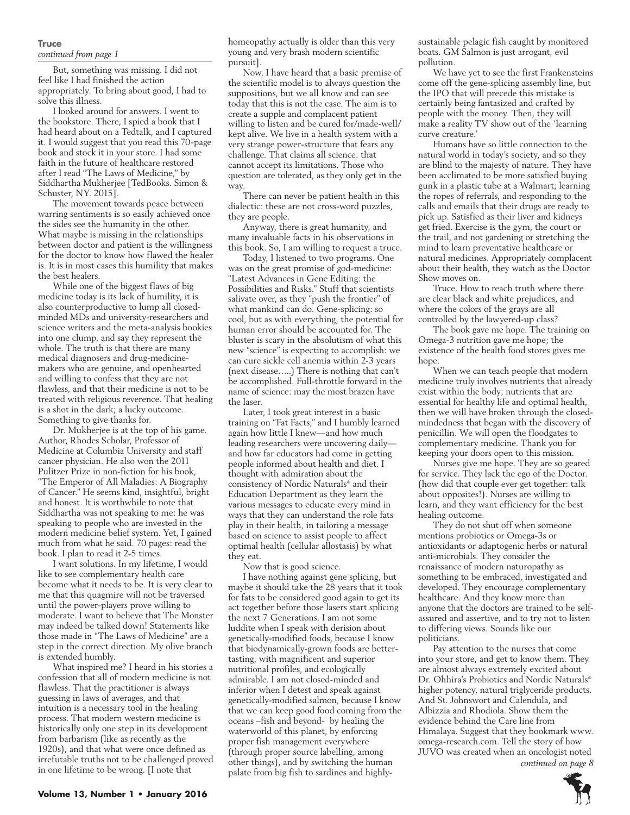#### **Truce** *continued from page 1*

But, something was missing. I did not feel like I had finished the action appropriately. To bring about good, I had to solve this illness.

I looked around for answers. I went to the bookstore. There, I spied a book that I had heard about on a Tedtalk, and I captured it. I would suggest that you read this 70-page book and stock it in your store. I had some faith in the future of healthcare restored after I read "The Laws of Medicine," by Siddhartha Mukherjee [TedBooks. Simon & Schuster, NY. 2015].

The movement towards peace between warring sentiments is so easily achieved once the sides see the humanity in the other. What maybe is missing in the relationships between doctor and patient is the willingness for the doctor to know how flawed the healer is. It is in most cases this humility that makes the best healers.

While one of the biggest flaws of big medicine today is its lack of humility, it is also counterproductive to lump all closedminded MDs and university-researchers and science writers and the meta-analysis bookies into one clump, and say they represent the whole. The truth is that there are many medical diagnosers and drug-medicinemakers who are genuine, and openhearted and willing to confess that they are not flawless, and that their medicine is not to be treated with religious reverence. That healing is a shot in the dark; a lucky outcome. Something to give thanks for.

Dr. Mukherjee is at the top of his game. Author, Rhodes Scholar, Professor of Medicine at Columbia University and staff cancer physician. He also won the 2011 Pulitzer Prize in non-fiction for his book, "The Emperor of All Maladies: A Biography of Cancer." He seems kind, insightful, bright and honest. It is worthwhile to note that Siddhartha was not speaking to me: he was speaking to people who are invested in the modern medicine belief system. Yet, I gained much from what he said. 70 pages: read the book. I plan to read it 2-5 times.

I want solutions. In my lifetime, I would like to see complementary health care become what it needs to be. It is very clear to me that this quagmire will not be traversed until the power-players prove willing to moderate. I want to believe that The Monster may indeed be talked down! Statements like those made in "The Laws of Medicine" are a step in the correct direction. My olive branch is extended humbly.

What inspired me? I heard in his stories a confession that all of modern medicine is not flawless. That the practitioner is always guessing in laws of averages, and that intuition is a necessary tool in the healing process. That modern western medicine is historically only one step in its development from barbarism (like as recently as the 1920s), and that what were once defined as irrefutable truths not to be challenged proved in one lifetime to be wrong. [I note that

homeopathy actually is older than this very young and very brash modern scientific pursuit].

Now, I have heard that a basic premise of the scientific model is to always question the suppositions, but we all know and can see today that this is not the case. The aim is to create a supple and complacent patient willing to listen and be cured for/made-well/ kept alive. We live in a health system with a very strange power-structure that fears any challenge. That claims all science: that cannot accept its limitations. Those who question are tolerated, as they only get in the way.

There can never be patient health in this dialectic: these are not cross-word puzzles, they are people.

Anyway, there is great humanity, and many invaluable facts in his observations in this book. So, I am willing to request a truce.

Today, I listened to two programs. One was on the great promise of god-medicine: "Latest Advances in Gene Editing: the Possibilities and Risks." Stuff that scientists salivate over, as they "push the frontier" of what mankind can do. Gene-splicing: so cool, but as with everything, the potential for human error should be accounted for. The bluster is scary in the absolutism of what this new "science" is expecting to accomplish: we can cure sickle cell anemia within 2-3 years (next disease…..) There is nothing that can't be accomplished. Full-throttle forward in the name of science: may the most brazen have the laser.

Later, I took great interest in a basic training on "Fat Facts," and I humbly learned again how little I knew—and how much leading researchers were uncovering daily and how far educators had come in getting people informed about health and diet. I thought with admiration about the consistency of Nordic Naturals® and their Education Department as they learn the various messages to educate every mind in ways that they can understand the role fats play in their health, in tailoring a message based on science to assist people to affect optimal health (cellular allostasis) by what they eat.

Now that is good science.

I have nothing against gene splicing, but maybe it should take the 28 years that it took for fats to be considered good again to get its act together before those lasers start splicing the next 7 Generations. I am not some luddite when I speak with derision about genetically-modified foods, because I know that biodynamically-grown foods are bettertasting, with magnificent and superior nutritional profiles, and ecologically admirable. I am not closed-minded and inferior when I detest and speak against genetically-modified salmon, because I know that we can keep good food coming from the oceans –fish and beyond- by healing the waterworld of this planet, by enforcing proper fish management everywhere (through proper source labelling, among other things), and by switching the human palate from big fish to sardines and highlysustainable pelagic fish caught by monitored boats. GM Salmon is just arrogant, evil pollution.

We have yet to see the first Frankensteins come off the gene-splicing assembly line, but the IPO that will precede this mistake is certainly being fantasized and crafted by people with the money. Then, they will make a reality TV show out of the 'learning curve creature.'

Humans have so little connection to the natural world in today's society, and so they are blind to the majesty of nature. They have been acclimated to be more satisfied buying gunk in a plastic tube at a Walmart; learning the ropes of referrals, and responding to the calls and emails that their drugs are ready to pick up. Satisfied as their liver and kidneys get fried. Exercise is the gym, the court or the trail, and not gardening or stretching the mind to learn preventative healthcare or natural medicines. Appropriately complacent about their health, they watch as the Doctor Show moves on.

Truce. How to reach truth where there are clear black and white prejudices, and where the colors of the grays are all controlled by the lawyered-up class?

The book gave me hope. The training on Omega-3 nutrition gave me hope; the existence of the health food stores gives me hope.

When we can teach people that modern medicine truly involves nutrients that already exist within the body; nutrients that are essential for healthy life and optimal health, then we will have broken through the closedmindedness that began with the discovery of penicillin. We will open the floodgates to complementary medicine. Thank you for keeping your doors open to this mission.

Nurses give me hope. They are so geared for service. They lack the ego of the Doctor. (how did that couple ever get together: talk about opposites!). Nurses are willing to learn, and they want efficiency for the best healing outcome.

They do not shut off when someone mentions probiotics or Omega-3s or antioxidants or adaptogenic herbs or natural anti-microbials. They consider the renaissance of modern naturopathy as something to be embraced, investigated and developed. They encourage complementary healthcare. And they know more than anyone that the doctors are trained to be selfassured and assertive, and to try not to listen to differing views. Sounds like our politicians.

Pay attention to the nurses that come into your store, and get to know them. They are almost always extremely excited about Dr. Ohhira's Probiotics and Nordic Naturals® higher potency, natural triglyceride products. And St. Johnswort and Calendula, and Albizzia and Rhodiola. Show them the evidence behind the Care line from Himalaya. Suggest that they bookmark www. omega-research.com. Tell the story of how JUVO was created when an oncologist noted *continued on page 8*

![](_page_6_Picture_25.jpeg)